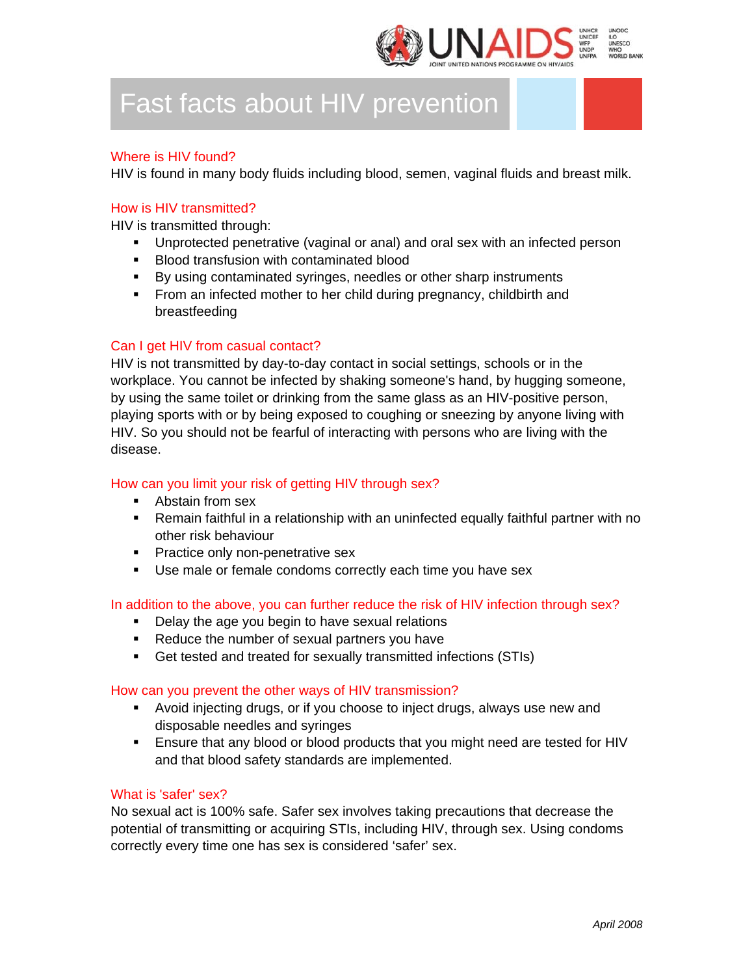

# Fast facts about HIV prevention

# Where is HIV found?

HIV is found in many body fluids including blood, semen, vaginal fluids and breast milk.

## How is HIV transmitted?

HIV is transmitted through:

- Unprotected penetrative (vaginal or anal) and oral sex with an infected person
- **Blood transfusion with contaminated blood**
- By using contaminated syringes, needles or other sharp instruments
- **From an infected mother to her child during pregnancy, childbirth and** breastfeeding

# Can I get HIV from casual contact?

HIV is not transmitted by day-to-day contact in social settings, schools or in the workplace. You cannot be infected by shaking someone's hand, by hugging someone, by using the same toilet or drinking from the same glass as an HIV-positive person, playing sports with or by being exposed to coughing or sneezing by anyone living with HIV. So you should not be fearful of interacting with persons who are living with the disease.

# How can you limit your risk of getting HIV through sex?

- **Abstain from sex**
- Remain faithful in a relationship with an uninfected equally faithful partner with no other risk behaviour
- **Practice only non-penetrative sex**
- **Use male or female condoms correctly each time you have sex**

In addition to the above, you can further reduce the risk of HIV infection through sex?

- Delay the age you begin to have sexual relations
- Reduce the number of sexual partners you have
- Get tested and treated for sexually transmitted infections (STIs)

## How can you prevent the other ways of HIV transmission?

- Avoid injecting drugs, or if you choose to inject drugs, always use new and disposable needles and syringes
- Ensure that any blood or blood products that you might need are tested for HIV and that blood safety standards are implemented.

## What is 'safer' sex?

No sexual act is 100% safe. Safer sex involves taking precautions that decrease the potential of transmitting or acquiring STIs, including HIV, through sex. Using condoms correctly every time one has sex is considered 'safer' sex.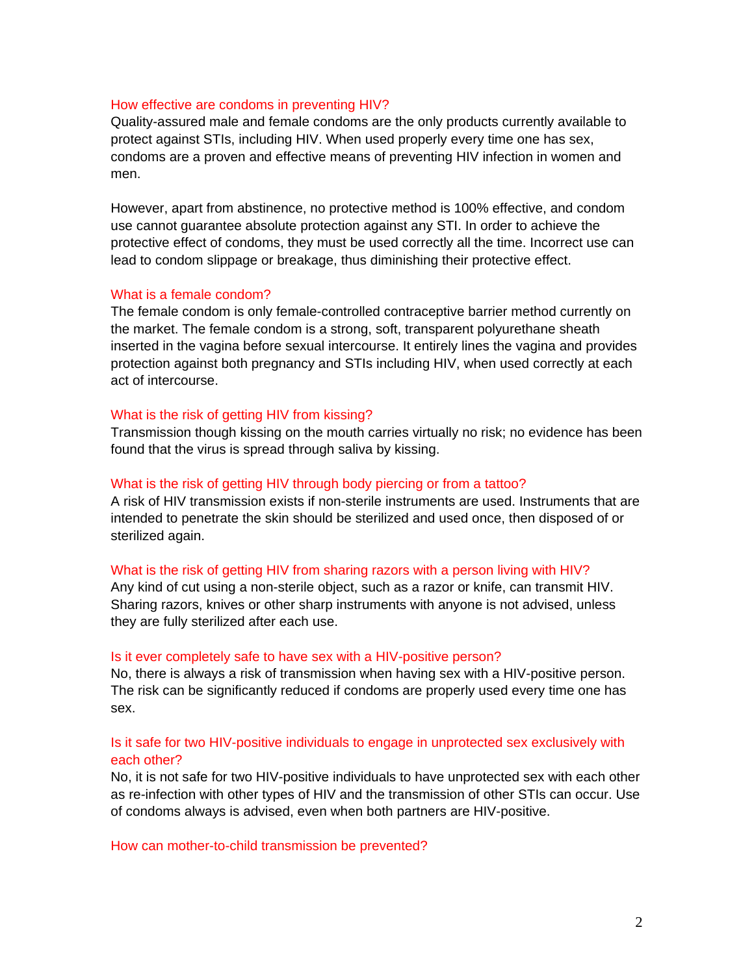#### How effective are condoms in preventing HIV?

Quality-assured male and female condoms are the only products currently available to protect against STIs, including HIV. When used properly every time one has sex, condoms are a proven and effective means of preventing HIV infection in women and men.

However, apart from abstinence, no protective method is 100% effective, and condom use cannot guarantee absolute protection against any STI. In order to achieve the protective effect of condoms, they must be used correctly all the time. Incorrect use can lead to condom slippage or breakage, thus diminishing their protective effect.

#### What is a female condom?

The female condom is only female-controlled contraceptive barrier method currently on the market. The female condom is a strong, soft, transparent polyurethane sheath inserted in the vagina before sexual intercourse. It entirely lines the vagina and provides protection against both pregnancy and STIs including HIV, when used correctly at each act of intercourse.

#### What is the risk of getting HIV from kissing?

Transmission though kissing on the mouth carries virtually no risk; no evidence has been found that the virus is spread through saliva by kissing.

#### What is the risk of getting HIV through body piercing or from a tattoo?

A risk of HIV transmission exists if non-sterile instruments are used. Instruments that are intended to penetrate the skin should be sterilized and used once, then disposed of or sterilized again.

#### What is the risk of getting HIV from sharing razors with a person living with HIV?

Any kind of cut using a non-sterile object, such as a razor or knife, can transmit HIV. Sharing razors, knives or other sharp instruments with anyone is not advised, unless they are fully sterilized after each use.

#### Is it ever completely safe to have sex with a HIV-positive person?

No, there is always a risk of transmission when having sex with a HIV-positive person. The risk can be significantly reduced if condoms are properly used every time one has sex.

# Is it safe for two HIV-positive individuals to engage in unprotected sex exclusively with each other?

No, it is not safe for two HIV-positive individuals to have unprotected sex with each other as re-infection with other types of HIV and the transmission of other STIs can occur. Use of condoms always is advised, even when both partners are HIV-positive.

How can mother-to-child transmission be prevented?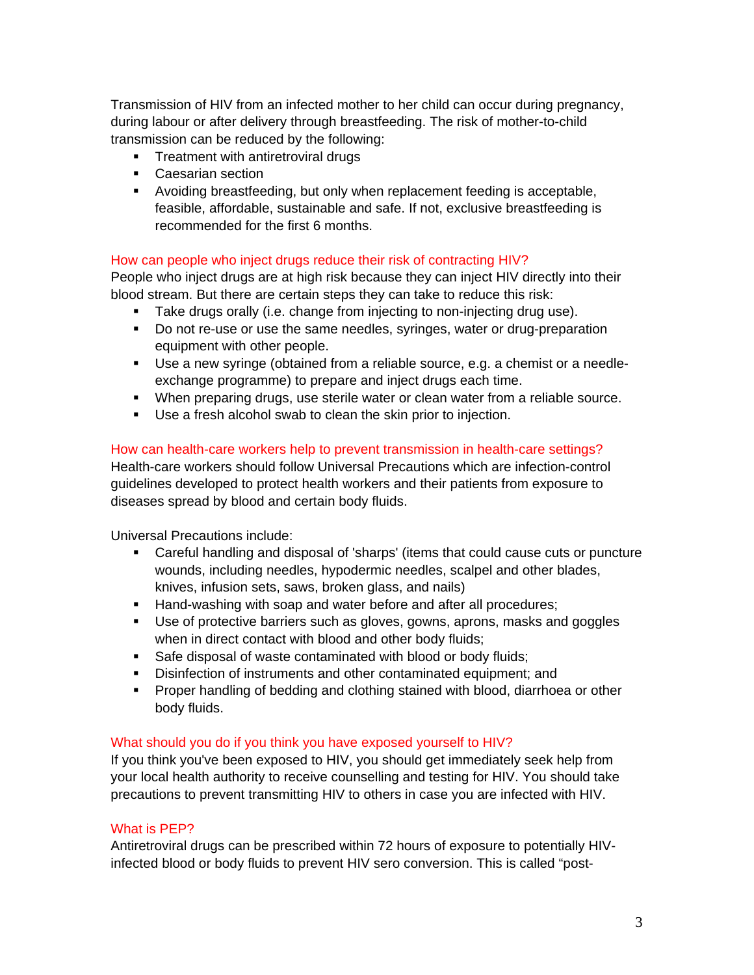Transmission of HIV from an infected mother to her child can occur during pregnancy, during labour or after delivery through breastfeeding. The risk of mother-to-child transmission can be reduced by the following:

- **Treatment with antiretroviral drugs**
- **Caesarian section**
- Avoiding breastfeeding, but only when replacement feeding is acceptable, feasible, affordable, sustainable and safe. If not, exclusive breastfeeding is recommended for the first 6 months.

# How can people who inject drugs reduce their risk of contracting HIV?

People who inject drugs are at high risk because they can inject HIV directly into their blood stream. But there are certain steps they can take to reduce this risk:

- **Take drugs orally (i.e. change from injecting to non-injecting drug use).**
- Do not re-use or use the same needles, syringes, water or drug-preparation equipment with other people.
- Use a new syringe (obtained from a reliable source, e.g. a chemist or a needleexchange programme) to prepare and inject drugs each time.
- When preparing drugs, use sterile water or clean water from a reliable source.
- Use a fresh alcohol swab to clean the skin prior to injection.

# How can health-care workers help to prevent transmission in health-care settings?

Health-care workers should follow Universal Precautions which are infection-control guidelines developed to protect health workers and their patients from exposure to diseases spread by blood and certain body fluids.

Universal Precautions include:

- Careful handling and disposal of 'sharps' (items that could cause cuts or puncture wounds, including needles, hypodermic needles, scalpel and other blades, knives, infusion sets, saws, broken glass, and nails)
- Hand-washing with soap and water before and after all procedures;
- Use of protective barriers such as gloves, gowns, aprons, masks and goggles when in direct contact with blood and other body fluids;
- Safe disposal of waste contaminated with blood or body fluids;
- Disinfection of instruments and other contaminated equipment; and
- **Proper handling of bedding and clothing stained with blood, diarrhoea or other** body fluids.

# What should you do if you think you have exposed yourself to HIV?

If you think you've been exposed to HIV, you should get immediately seek help from your local health authority to receive counselling and testing for HIV. You should take precautions to prevent transmitting HIV to others in case you are infected with HIV.

# What is PEP?

Antiretroviral drugs can be prescribed within 72 hours of exposure to potentially HIVinfected blood or body fluids to prevent HIV sero conversion. This is called "post